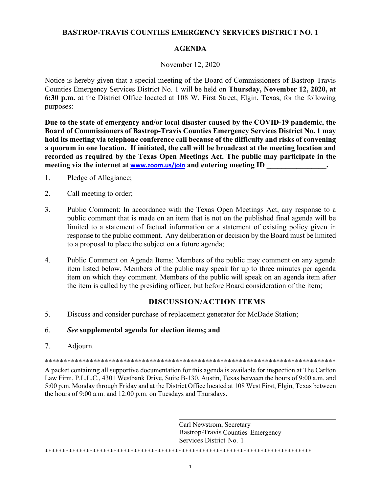## **BASTROP-TRAVIS COUNTIES EMERGENCY SERVICES DISTRICT NO. 1**

### **AGENDA**

### November 12, 2020

Notice is hereby given that a special meeting of the Board of Commissioners of Bastrop-Travis Counties Emergency Services District No. 1 will be held on Thursday, November 12, 2020, at 6:30 p.m. at the District Office located at 108 W. First Street, Elgin, Texas, for the following purposes:

Due to the state of emergency and/or local disaster caused by the COVID-19 pandemic, the Board of Commissioners of Bastrop-Travis Counties Emergency Services District No. 1 may hold its meeting via telephone conference call because of the difficulty and risks of convening a quorum in one location. If initiated, the call will be broadcast at the meeting location and recorded as required by the Texas Open Meetings Act. The public may participate in the meeting via the internet at www.zoom.us/join and entering meeting ID

- $1.$ Pledge of Allegiance;
- $2.$ Call meeting to order;
- $\mathcal{E}$ Public Comment: In accordance with the Texas Open Meetings Act, any response to a public comment that is made on an item that is not on the published final agenda will be limited to a statement of factual information or a statement of existing policy given in response to the public comment. Any deliberation or decision by the Board must be limited to a proposal to place the subject on a future agenda;
- $\overline{4}$ . Public Comment on Agenda Items: Members of the public may comment on any agenda item listed below. Members of the public may speak for up to three minutes per agenda item on which they comment. Members of the public will speak on an agenda item after the item is called by the presiding officer, but before Board consideration of the item;

# **DISCUSSION/ACTION ITEMS**

 $5<sub>1</sub>$ Discuss and consider purchase of replacement generator for McDade Station;

#### 6. See supplemental agenda for election items; and

7. Adiourn.

A packet containing all supportive documentation for this agenda is available for inspection at The Carlton Law Firm, P.L.L.C., 4301 Westbank Drive, Suite B-130, Austin, Texas between the hours of 9:00 a.m. and 5:00 p.m. Monday through Friday and at the District Office located at 108 West First, Elgin, Texas between the hours of 9:00 a.m. and 12:00 p.m. on Tuesdays and Thursdays.

> Carl Newstrom, Secretary **Bastrop-Travis Counties Emergency** Services District No. 1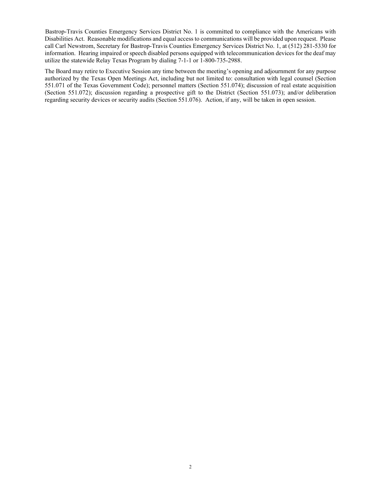Bastrop-Travis Counties Emergency Services District No. 1 is committed to compliance with the Americans with Disabilities Act. Reasonable modifications and equal access to communications will be provided upon request. Please call Carl Newstrom, Secretary for Bastrop-Travis Counties Emergency Services District No. 1, at (512) 281-5330 for information. Hearing impaired or speech disabled persons equipped with telecommunication devices for the deaf may utilize the statewide Relay Texas Program by dialing 7-1-1 or 1-800-735-2988.

The Board may retire to Executive Session any time between the meeting's opening and adjournment for any purpose authorized by the Texas Open Meetings Act, including but not limited to: consultation with legal counsel (Section 551.071 of the Texas Government Code); personnel matters (Section 551.074); discussion of real estate acquisition (Section 551.072); discussion regarding a prospective gift to the District (Section 551.073); and/or deliberation regarding security devices or security audits (Section 551.076). Action, if any, will be taken in open session.